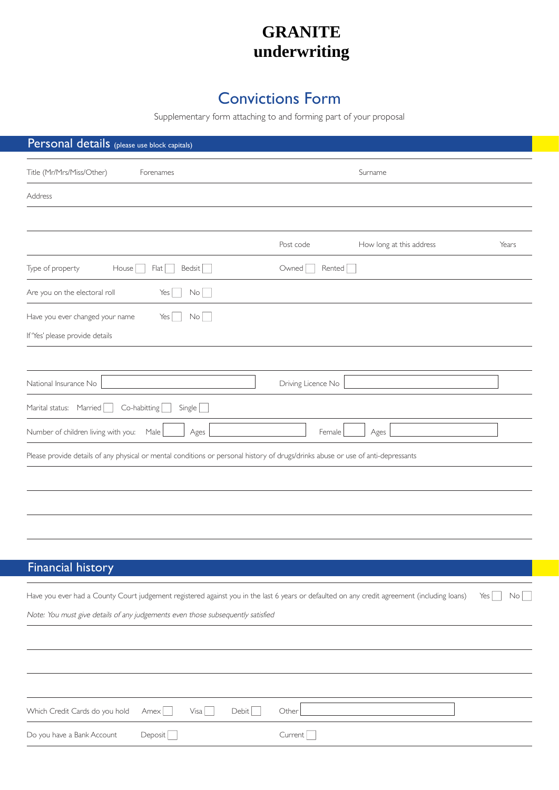## **GRANITE underwriting**

## Convictions Form

Supplementary form attaching to and forming part of your proposal

| Personal details (please use block capitals)                                                                                                 |                              |                          |           |
|----------------------------------------------------------------------------------------------------------------------------------------------|------------------------------|--------------------------|-----------|
| Title (Mr/Mrs/Miss/Other)<br>Forenames                                                                                                       |                              | Surname                  |           |
| Address                                                                                                                                      |                              |                          |           |
|                                                                                                                                              |                              |                          |           |
|                                                                                                                                              | Post code                    | How long at this address | Years     |
| Bedsit <sup></sup><br>Type of property<br>Flat<br>House                                                                                      | Rented<br>Owned <sup>[</sup> |                          |           |
| No<br>Are you on the electoral roll<br>Yes                                                                                                   |                              |                          |           |
| Have you ever changed your name<br>Yes<br>$\mathsf{No}$                                                                                      |                              |                          |           |
| If 'Yes' please provide details                                                                                                              |                              |                          |           |
|                                                                                                                                              |                              |                          |           |
| National Insurance No                                                                                                                        | Driving Licence No           |                          |           |
| Co-habitting<br>Marital status: Married<br>Single                                                                                            |                              |                          |           |
| Number of children living with you:<br>Male<br>Ages                                                                                          | Female                       | Ages                     |           |
| Please provide details of any physical or mental conditions or personal history of drugs/drinks abuse or use of anti-depressants             |                              |                          |           |
|                                                                                                                                              |                              |                          |           |
|                                                                                                                                              |                              |                          |           |
|                                                                                                                                              |                              |                          |           |
|                                                                                                                                              |                              |                          |           |
| <b>Financial history</b>                                                                                                                     |                              |                          |           |
| Have you ever had a County Court judgement registered against you in the last 6 years or defaulted on any credit agreement (including loans) |                              |                          | Yes<br>No |
| Note: You must give details of any judgements even those subsequently satisfied                                                              |                              |                          |           |
|                                                                                                                                              |                              |                          |           |
|                                                                                                                                              |                              |                          |           |
|                                                                                                                                              |                              |                          |           |
| Debit<br>Which Credit Cards do you hold<br>Visa<br>Amex                                                                                      | Other                        |                          |           |
| Deposit<br>Do you have a Bank Account                                                                                                        | Current                      |                          |           |
|                                                                                                                                              |                              |                          |           |